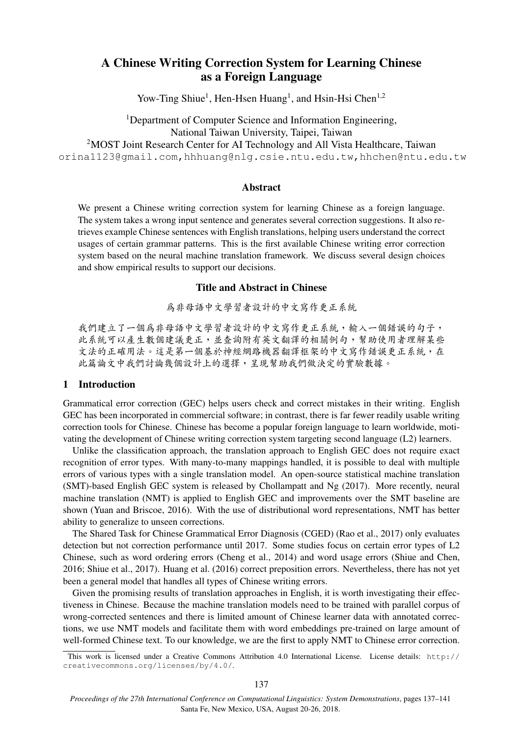# A Chinese Writing Correction System for Learning Chinese as a Foreign Language

Yow-Ting Shiue<sup>1</sup>, Hen-Hsen Huang<sup>1</sup>, and Hsin-Hsi Chen<sup>1,2</sup>

<sup>1</sup>Department of Computer Science and Information Engineering, National Taiwan University, Taipei, Taiwan <sup>2</sup>MOST Joint Research Center for AI Technology and All Vista Healthcare, Taiwan orina1123@gmail.com,hhhuang@nlg.csie.ntu.edu.tw,hhchen@ntu.edu.tw

## Abstract

We present a Chinese writing correction system for learning Chinese as a foreign language. The system takes a wrong input sentence and generates several correction suggestions. It also retrieves example Chinese sentences with English translations, helping users understand the correct usages of certain grammar patterns. This is the first available Chinese writing error correction system based on the neural machine translation framework. We discuss several design choices and show empirical results to support our decisions.

### Title and Abstract in Chinese

<sup>為</sup>非母語中文學習者設計的中文寫作更正系<sup>統</sup>

我們建立了一個為非母語中文學習者設計的中文寫作更正系統,輸入一個錯誤的句子, 此系統可以產生數個建議更正,並查詢附有英文翻譯的相關例句,幫助使用者理解某<sup>些</sup> 文法的正確用法。這是第一個基於神經網路機器翻譯框架的中文寫作錯誤更正系統,在 此篇論文中我們討論幾個設計上的選擇,呈現幫助我們做決定的實驗數據。

### 1 Introduction

Grammatical error correction (GEC) helps users check and correct mistakes in their writing. English GEC has been incorporated in commercial software; in contrast, there is far fewer readily usable writing correction tools for Chinese. Chinese has become a popular foreign language to learn worldwide, motivating the development of Chinese writing correction system targeting second language (L2) learners.

Unlike the classification approach, the translation approach to English GEC does not require exact recognition of error types. With many-to-many mappings handled, it is possible to deal with multiple errors of various types with a single translation model. An open-source statistical machine translation (SMT)-based English GEC system is released by Chollampatt and Ng (2017). More recently, neural machine translation (NMT) is applied to English GEC and improvements over the SMT baseline are shown (Yuan and Briscoe, 2016). With the use of distributional word representations, NMT has better ability to generalize to unseen corrections.

The Shared Task for Chinese Grammatical Error Diagnosis (CGED) (Rao et al., 2017) only evaluates detection but not correction performance until 2017. Some studies focus on certain error types of L2 Chinese, such as word ordering errors (Cheng et al., 2014) and word usage errors (Shiue and Chen, 2016; Shiue et al., 2017). Huang et al. (2016) correct preposition errors. Nevertheless, there has not yet been a general model that handles all types of Chinese writing errors.

Given the promising results of translation approaches in English, it is worth investigating their effectiveness in Chinese. Because the machine translation models need to be trained with parallel corpus of wrong-corrected sentences and there is limited amount of Chinese learner data with annotated corrections, we use NMT models and facilitate them with word embeddings pre-trained on large amount of well-formed Chinese text. To our knowledge, we are the first to apply NMT to Chinese error correction.

This work is licensed under a Creative Commons Attribution 4.0 International License. License details: http:// creativecommons.org/licenses/by/4.0/.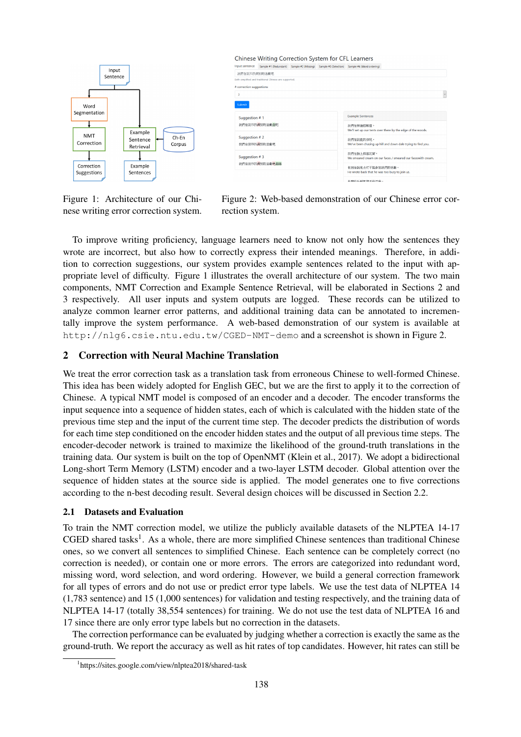

| Input sentence                 |                                                        |                          | Sample #1 (Redundant) Sample #2 (Missing) Sample #3 (Selection) Sample #4 (Word ordering) |  |  |
|--------------------------------|--------------------------------------------------------|--------------------------|-------------------------------------------------------------------------------------------|--|--|
| 我們在夜市找做别的活動吧                   |                                                        |                          |                                                                                           |  |  |
|                                | Both simplified and traditional Chinese are supported. |                          |                                                                                           |  |  |
| # correction suggestions       |                                                        |                          |                                                                                           |  |  |
| 3                              |                                                        |                          |                                                                                           |  |  |
| Submit                         |                                                        |                          |                                                                                           |  |  |
|                                |                                                        |                          |                                                                                           |  |  |
| Suggestion #1<br>我們在夜市找做別的活動做吧 |                                                        | <b>Example Sentences</b> |                                                                                           |  |  |
|                                |                                                        | 我們在林曉搭帳篷。                |                                                                                           |  |  |
|                                |                                                        |                          | We'll set up our tents over there by the edge of the woods.                               |  |  |
| Suggestion #2                  |                                                        |                          | 我們在到處找你呢。                                                                                 |  |  |
| 我們在夜市找器別的活動吧                   |                                                        |                          | We've been chasing up hill and down dale trying to find you.                              |  |  |
|                                |                                                        |                          | 我們在臉上搽雪花管。                                                                                |  |  |
| Suggestion #3                  |                                                        |                          | We smeared cream on our faces / smeared our faceswith cream.                              |  |  |
| 我們在夜市找做別的活動吧做嗎                 |                                                        | 他同信說他太忙不能參加我們的活動。        |                                                                                           |  |  |
|                                |                                                        |                          | He wrote back that he was too busy to join us.                                            |  |  |
|                                |                                                        |                          | ARTHURS-NAMES MEAN OF SALE                                                                |  |  |

Figure 1: Architecture of our Chinese writing error correction system.

Figure 2: Web-based demonstration of our Chinese error correction system.

To improve writing proficiency, language learners need to know not only how the sentences they wrote are incorrect, but also how to correctly express their intended meanings. Therefore, in addition to correction suggestions, our system provides example sentences related to the input with appropriate level of difficulty. Figure 1 illustrates the overall architecture of our system. The two main components, NMT Correction and Example Sentence Retrieval, will be elaborated in Sections 2 and 3 respectively. All user inputs and system outputs are logged. These records can be utilized to analyze common learner error patterns, and additional training data can be annotated to incrementally improve the system performance. A web-based demonstration of our system is available at http://nlg6.csie.ntu.edu.tw/CGED-NMT-demo and a screenshot is shown in Figure 2.

## 2 Correction with Neural Machine Translation

We treat the error correction task as a translation task from erroneous Chinese to well-formed Chinese. This idea has been widely adopted for English GEC, but we are the first to apply it to the correction of Chinese. A typical NMT model is composed of an encoder and a decoder. The encoder transforms the input sequence into a sequence of hidden states, each of which is calculated with the hidden state of the previous time step and the input of the current time step. The decoder predicts the distribution of words for each time step conditioned on the encoder hidden states and the output of all previous time steps. The encoder-decoder network is trained to maximize the likelihood of the ground-truth translations in the training data. Our system is built on the top of OpenNMT (Klein et al., 2017). We adopt a bidirectional Long-short Term Memory (LSTM) encoder and a two-layer LSTM decoder. Global attention over the sequence of hidden states at the source side is applied. The model generates one to five corrections according to the n-best decoding result. Several design choices will be discussed in Section 2.2.

## 2.1 Datasets and Evaluation

To train the NMT correction model, we utilize the publicly available datasets of the NLPTEA 14-17 CGED shared tasks<sup>1</sup>. As a whole, there are more simplified Chinese sentences than traditional Chinese ones, so we convert all sentences to simplified Chinese. Each sentence can be completely correct (no correction is needed), or contain one or more errors. The errors are categorized into redundant word, missing word, word selection, and word ordering. However, we build a general correction framework for all types of errors and do not use or predict error type labels. We use the test data of NLPTEA 14 (1,783 sentence) and 15 (1,000 sentences) for validation and testing respectively, and the training data of NLPTEA 14-17 (totally 38,554 sentences) for training. We do not use the test data of NLPTEA 16 and 17 since there are only error type labels but no correction in the datasets.

The correction performance can be evaluated by judging whether a correction is exactly the same as the ground-truth. We report the accuracy as well as hit rates of top candidates. However, hit rates can still be

<sup>1</sup> https://sites.google.com/view/nlptea2018/shared-task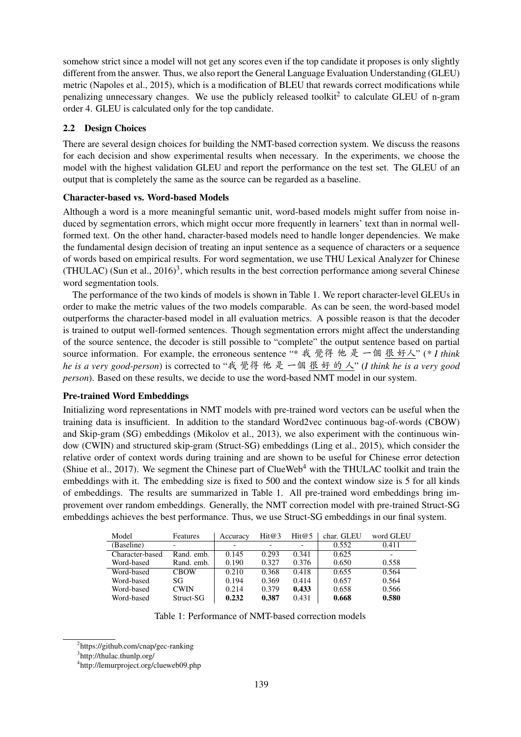somehow strict since a model will not get any scores even if the top candidate it proposes is only slightly different from the answer. Thus, we also report the General Language Evaluation Understanding (GLEU) metric (Napoles et al., 2015), which is a modification of BLEU that rewards correct modifications while penalizing unnecessary changes. We use the publicly released toolkit<sup>2</sup> to calculate GLEU of n-gram order 4. GLEU is calculated only for the top candidate.

## 2.2 Design Choices

There are several design choices for building the NMT-based correction system. We discuss the reasons for each decision and show experimental results when necessary. In the experiments, we choose the model with the highest validation GLEU and report the performance on the test set. The GLEU of an output that is completely the same as the source can be regarded as a baseline.

#### Character-based vs. Word-based Models

Although a word is a more meaningful semantic unit, word-based models might suffer from noise induced by segmentation errors, which might occur more frequently in learners' text than in normal wellformed text. On the other hand, character-based models need to handle longer dependencies. We make the fundamental design decision of treating an input sentence as a sequence of characters or a sequence of words based on empirical results. For word segmentation, we use THU Lexical Analyzer for Chinese (THULAC) (Sun et al., 2016)<sup>3</sup>, which results in the best correction performance among several Chinese word segmentation tools.

The performance of the two kinds of models is shown in Table 1. We report character-level GLEUs in order to make the metric values of the two models comparable. As can be seen, the word-based model outperforms the character-based model in all evaluation metrics. A possible reason is that the decoder is trained to output well-formed sentences. Though segmentation errors might affect the understanding of the source sentence, the decoder is still possible to "complete" the output sentence based on partial source information. For example, the erroneous sentence "\* 我 覺<sup>得</sup> <sup>他</sup> <sup>是</sup> <sup>一</sup><sup>個</sup> <sup>很</sup> <sup>好</sup>人" (*\* I think he is a very good-person*) is corrected to "我 覺<sup>得</sup> <sup>他</sup> <sup>是</sup> <sup>一</sup><sup>個</sup> <sup>很</sup> <sup>好</sup> 的 <sup>人</sup>" (*I think he is a very good person*). Based on these results, we decide to use the word-based NMT model in our system.

#### Pre-trained Word Embeddings

Initializing word representations in NMT models with pre-trained word vectors can be useful when the training data is insufficient. In addition to the standard Word2vec continuous bag-of-words (CBOW) and Skip-gram (SG) embeddings (Mikolov et al., 2013), we also experiment with the continuous window (CWIN) and structured skip-gram (Struct-SG) embeddings (Ling et al., 2015), which consider the relative order of context words during training and are shown to be useful for Chinese error detection (Shiue et al., 2017). We segment the Chinese part of  $C$ lueWeb<sup>4</sup> with the THULAC toolkit and train the embeddings with it. The embedding size is fixed to 500 and the context window size is 5 for all kinds of embeddings. The results are summarized in Table 1. All pre-trained word embeddings bring improvement over random embeddings. Generally, the NMT correction model with pre-trained Struct-SG embeddings achieves the best performance. Thus, we use Struct-SG embeddings in our final system.

| Model           | Features    | Accuracy                 | Hit@3 | Hit@5 | char. GLEU | word GLEU                |
|-----------------|-------------|--------------------------|-------|-------|------------|--------------------------|
| (Baseline)      |             | $\overline{\phantom{a}}$ |       |       | 0.552      | 0.411                    |
| Character-based | Rand. emb.  | 0.145                    | 0.293 | 0.341 | 0.625      | $\overline{\phantom{0}}$ |
| Word-based      | Rand. emb.  | 0.190                    | 0.327 | 0.376 | 0.650      | 0.558                    |
| Word-based      | <b>CBOW</b> | 0.210                    | 0.368 | 0.418 | 0.655      | 0.564                    |
| Word-based      | SG          | 0.194                    | 0.369 | 0.414 | 0.657      | 0.564                    |
| Word-based      | <b>CWIN</b> | 0.214                    | 0.379 | 0.433 | 0.658      | 0.566                    |
| Word-based      | Struct-SG   | 0.232                    | 0.387 | 0.431 | 0.668      | 0.580                    |

Table 1: Performance of NMT-based correction models

<sup>2</sup> https://github.com/cnap/gec-ranking

<sup>3</sup> http://thulac.thunlp.org/

<sup>4</sup> http://lemurproject.org/clueweb09.php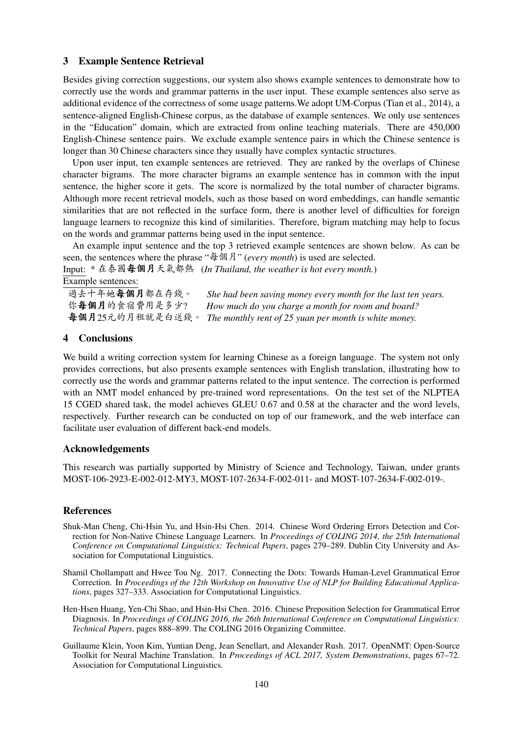#### 3 Example Sentence Retrieval

Besides giving correction suggestions, our system also shows example sentences to demonstrate how to correctly use the words and grammar patterns in the user input. These example sentences also serve as additional evidence of the correctness of some usage patterns.We adopt UM-Corpus (Tian et al., 2014), a sentence-aligned English-Chinese corpus, as the database of example sentences. We only use sentences in the "Education" domain, which are extracted from online teaching materials. There are 450,000 English-Chinese sentence pairs. We exclude example sentence pairs in which the Chinese sentence is longer than 30 Chinese characters since they usually have complex syntactic structures.

Upon user input, ten example sentences are retrieved. They are ranked by the overlaps of Chinese character bigrams. The more character bigrams an example sentence has in common with the input sentence, the higher score it gets. The score is normalized by the total number of character bigrams. Although more recent retrieval models, such as those based on word embeddings, can handle semantic similarities that are not reflected in the surface form, there is another level of difficulties for foreign language learners to recognize this kind of similarities. Therefore, bigram matching may help to focus on the words and grammar patterns being used in the input sentence.

An example input sentence and the top 3 retrieved example sentences are shown below. As can be seen, the sentences where the phrase "每個月" (*every month*) is used are selected.

Input: \* <sup>在</sup>泰國每個月天氣都<sup>熱</sup> (*In Thailand, the weather is hot every month.*) Example sentences:

過去十年她**每個月**都在存錢。 *She had been saving money every month for the last ten years.*<br>你每個月的食宿費用是多少? How much do you charge a month for room and board? 你每個月的食宿費用是多少? How much do you charge a month for room and board?<br>每個月25元的月和就是白洋錢。The monthly rent of 25 yuan per month is white money. 每個月25元的月租就是白送錢。 *The monthly rent of 25 yuan per month is white money.*

#### 4 Conclusions

We build a writing correction system for learning Chinese as a foreign language. The system not only provides corrections, but also presents example sentences with English translation, illustrating how to correctly use the words and grammar patterns related to the input sentence. The correction is performed with an NMT model enhanced by pre-trained word representations. On the test set of the NLPTEA 15 CGED shared task, the model achieves GLEU 0.67 and 0.58 at the character and the word levels, respectively. Further research can be conducted on top of our framework, and the web interface can facilitate user evaluation of different back-end models.

#### Acknowledgements

This research was partially supported by Ministry of Science and Technology, Taiwan, under grants MOST-106-2923-E-002-012-MY3, MOST-107-2634-F-002-011- and MOST-107-2634-F-002-019-.

#### References

- Shuk-Man Cheng, Chi-Hsin Yu, and Hsin-Hsi Chen. 2014. Chinese Word Ordering Errors Detection and Correction for Non-Native Chinese Language Learners. In *Proceedings of COLING 2014, the 25th International Conference on Computational Linguistics: Technical Papers*, pages 279–289. Dublin City University and Association for Computational Linguistics.
- Shamil Chollampatt and Hwee Tou Ng. 2017. Connecting the Dots: Towards Human-Level Grammatical Error Correction. In *Proceedings of the 12th Workshop on Innovative Use of NLP for Building Educational Applications*, pages 327–333. Association for Computational Linguistics.
- Hen-Hsen Huang, Yen-Chi Shao, and Hsin-Hsi Chen. 2016. Chinese Preposition Selection for Grammatical Error Diagnosis. In *Proceedings of COLING 2016, the 26th International Conference on Computational Linguistics: Technical Papers*, pages 888–899. The COLING 2016 Organizing Committee.
- Guillaume Klein, Yoon Kim, Yuntian Deng, Jean Senellart, and Alexander Rush. 2017. OpenNMT: Open-Source Toolkit for Neural Machine Translation. In *Proceedings of ACL 2017, System Demonstrations*, pages 67–72. Association for Computational Linguistics.